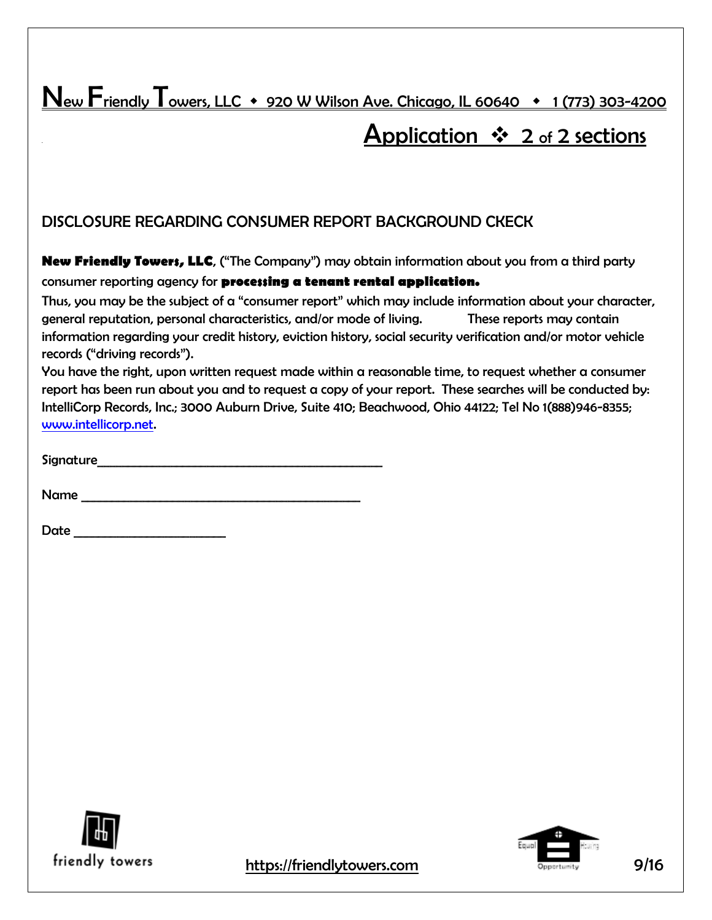New Friendly Towers, LLC  $\arrow$  920 W Wilson Ave. Chicago, IL 60640  $\rightarrow$  1 (773) 303-4200

# Application  $\cdot \cdot$  2 of 2 sections

### DISCLOSURE REGARDING CONSUMER REPORT BACKGROUND CKECK

**New Friendly Towers, LLC**, ("The Company") may obtain information about you from a third party consumer reporting agency for **processing a tenant rental application.**

Thus, you may be the subject of a "consumer report" which may include information about your character, general reputation, personal characteristics, and/or mode of living. These reports may contain information regarding your credit history, eviction history, social security verification and/or motor vehicle records ("driving records").

You have the right, upon written request made within a reasonable time, to request whether a consumer report has been run about you and to request a copy of your report. These searches will be conducted by: IntelliCorp Records, Inc.; 3000 Auburn Drive, Suite 410; Beachwood, Ohio 44122; Tel No 1(888)946-8355; [www.intellicorp.net.](http://www.intellicorp.net/)

| Signature |
|-----------|
|-----------|

| Name |  |
|------|--|
|      |  |

Date \_\_\_\_\_\_\_\_\_\_\_\_\_\_\_\_\_\_\_\_\_\_\_\_\_





friendly towers https://friendlytowers.com **Example 2016** Opportunity 9/16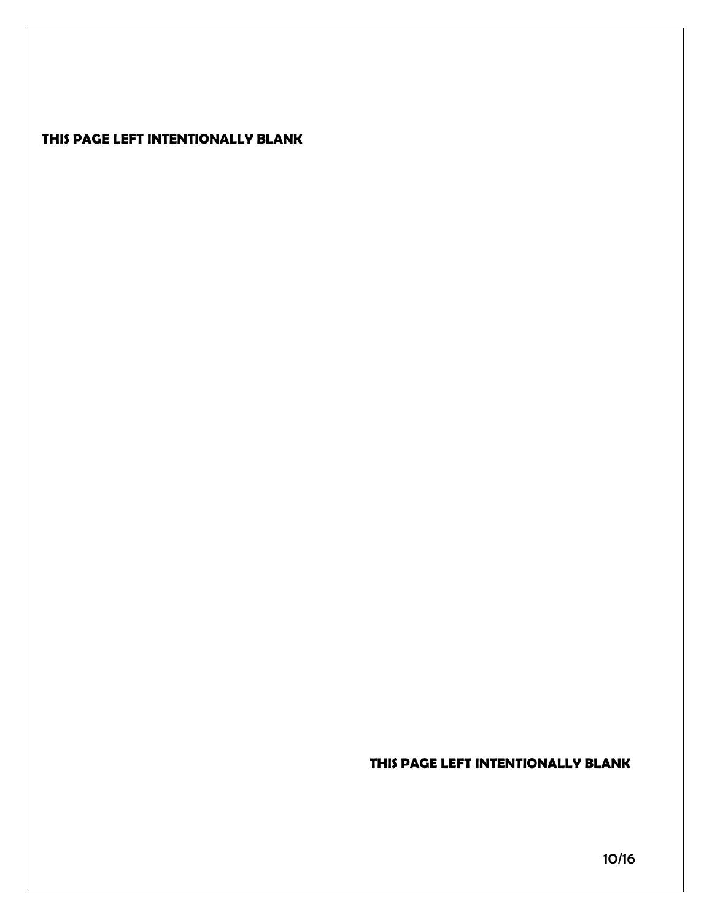### **THIS PAGE LEFT INTENTIONALLY BLANK**

### **THIS PAGE LEFT INTENTIONALLY BLANK**

10/16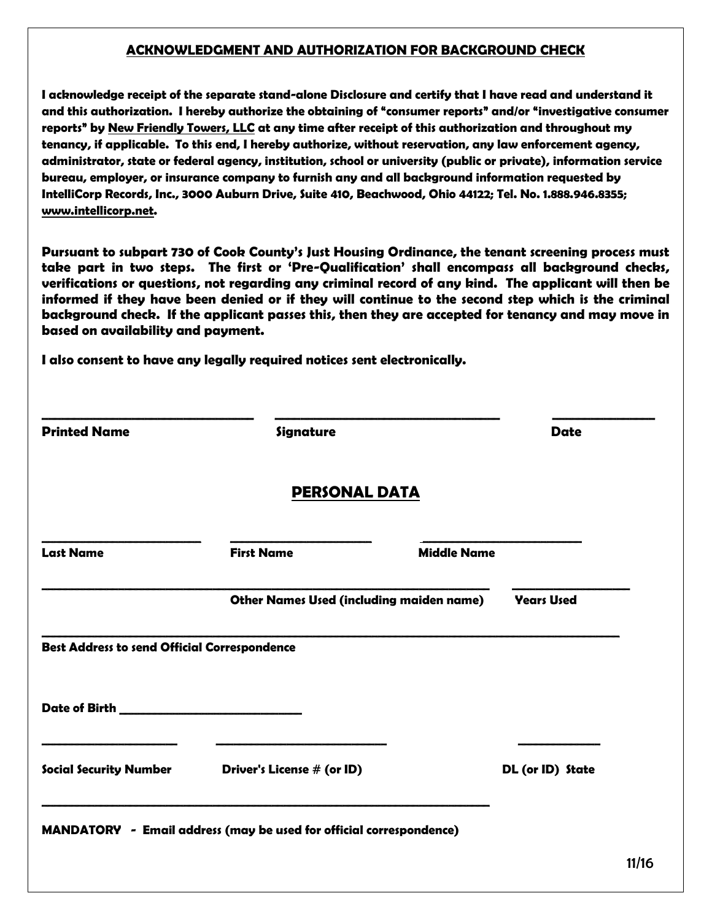#### **ACKNOWLEDGMENT AND AUTHORIZATION FOR BACKGROUND CHECK**

**I acknowledge receipt of the separate stand-alone Disclosure and certify that I have read and understand it and this authorization. I hereby authorize the obtaining of "consumer reports" and/or "investigative consumer reports" by New Friendly Towers, LLC at any time after receipt of this authorization and throughout my tenancy, if applicable. To this end, I hereby authorize, without reservation, any law enforcement agency, administrator, state or federal agency, institution, school or university (public or private), information service bureau, employer, or insurance company to furnish any and all background information requested by IntelliCorp Records, Inc., 3000 Auburn Drive, Suite 410, Beachwood, Ohio 44122; Tel. No. 1.888.946.8355; [www.intellicorp.net.](http://www.intellicorp.net/)**

**Pursuant to subpart 730 of Cook County's Just Housing Ordinance, the tenant screening process must take part in two steps. The first or 'Pre-Qualification' shall encompass all background checks, verifications or questions, not regarding any criminal record of any kind. The applicant will then be informed if they have been denied or if they will continue to the second step which is the criminal background check. If the applicant passes this, then they are accepted for tenancy and may move in based on availability and payment.** 

**I also consent to have any legally required notices sent electronically.**

| <b>Printed Name</b>                                 | Signature                                                           |                    | <b>Date</b>       |  |  |  |
|-----------------------------------------------------|---------------------------------------------------------------------|--------------------|-------------------|--|--|--|
| <b>PERSONAL DATA</b>                                |                                                                     |                    |                   |  |  |  |
| <b>Last Name</b>                                    | <b>First Name</b>                                                   | <b>Middle Name</b> |                   |  |  |  |
|                                                     | <b>Other Names Used (including maiden name)</b>                     |                    | <b>Years Used</b> |  |  |  |
| <b>Best Address to send Official Correspondence</b> |                                                                     |                    |                   |  |  |  |
|                                                     |                                                                     |                    |                   |  |  |  |
| <b>Social Security Number</b>                       | Driver's License # (or ID)                                          |                    | DL (or ID) State  |  |  |  |
|                                                     | MANDATORY - Email address (may be used for official correspondence) |                    |                   |  |  |  |
|                                                     |                                                                     |                    |                   |  |  |  |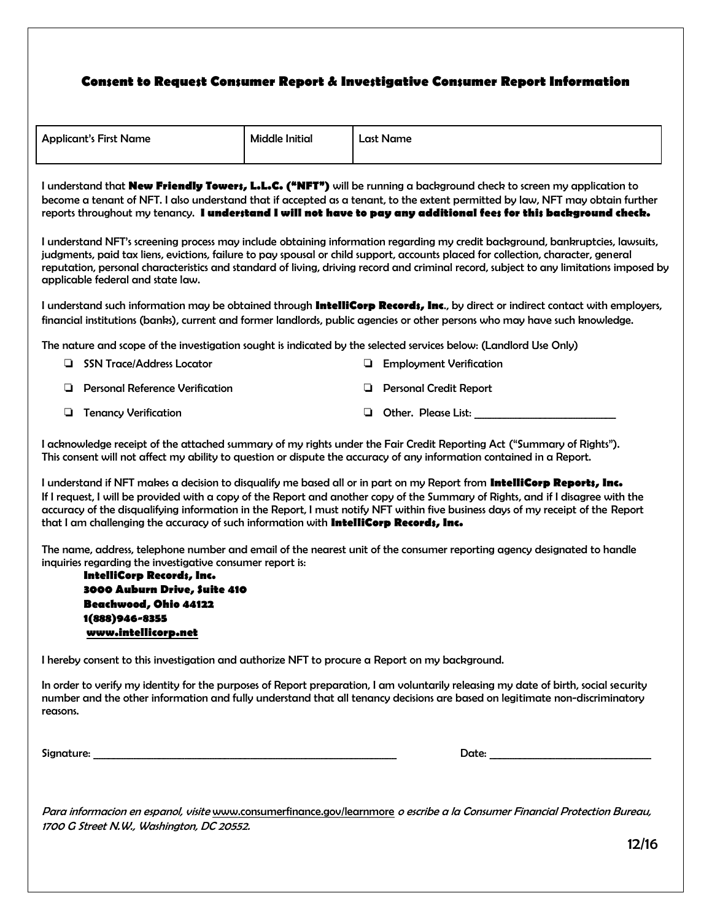#### **Consent to Request Consumer Report & Investigative Consumer Report Information**

| <b>Applicant's First Name</b> | <b>Middle Initial</b> | Last Name |
|-------------------------------|-----------------------|-----------|
|                               |                       |           |

I understand that **New Friendly Towers, L.L.C. ("NFT")** will be running a background check to screen my application to become a tenant of NFT. I also understand that if accepted as a tenant, to the extent permitted by law, NFT may obtain further reports throughout my tenancy. **I understand I will not have to pay any additional fees for this background check.**

I understand NFT's screening process may include obtaining information regarding my credit background, bankruptcies, lawsuits, judgments, paid tax liens, evictions, failure to pay spousal or child support, accounts placed for collection, character, general reputation, personal characteristics and standard of living, driving record and criminal record, subject to any limitations imposed by applicable federal and state law.

I understand such information may be obtained through **IntelliCorp Records, Inc**., by direct or indirect contact with employers, financial institutions (banks), current and former landlords, public agencies or other persons who may have such knowledge.

The nature and scope of the investigation sought is indicated by the selected services below: (Landlord Use Only)

❏ SSN Trace/Address Locator ❏ Employment Verification ❏ Personal Reference Verification ❏ Personal Credit Report ❏ Tenancy Verification ❏ Other. Please List: \_\_\_\_\_\_\_\_\_\_\_\_\_\_\_\_\_\_\_\_\_\_\_\_\_\_\_\_

I acknowledge receipt of the attached summary of my rights under the Fair Credit Reporting Act ("Summary of Rights"). This consent will not affect my ability to question or dispute the accuracy of any information contained in a Report.

I understand if NFT makes a decision to disqualify me based all or in part on my Report from **IntelliCorp Reports, Inc.** If I request, I will be provided with a copy of the Report and another copy of the Summary of Rights, and if I disagree with the accuracy of the disqualifying information in the Report, I must notify NFT within five business days of my receipt of the Report that I am challenging the accuracy of such information with **IntelliCorp Records, Inc.**

The name, address, telephone number and email of the nearest unit of the consumer reporting agency designated to handle inquiries regarding the investigative consumer report is:

**IntelliCorp Records, Inc. 3000 Auburn Drive, Suite 410 Beachwood, Ohio 44122 1(888)946-8355 [www.intellicorp.net](http://www.intellicorp.net/)**

I hereby consent to this investigation and authorize NFT to procure a Report on my background.

In order to verify my identity for the purposes of Report preparation, I am voluntarily releasing my date of birth, social security number and the other information and fully understand that all tenancy decisions are based on legitimate non-discriminatory reasons.

Signature: \_\_\_\_\_\_\_\_\_\_\_\_\_\_\_\_\_\_\_\_\_\_\_\_\_\_\_\_\_\_\_\_\_\_\_\_\_\_\_\_\_\_\_\_\_\_\_\_\_\_\_\_\_\_\_\_\_\_\_\_ Date: \_\_\_\_\_\_\_\_\_\_\_\_\_\_\_\_\_\_\_\_\_\_\_\_\_\_\_\_\_\_\_\_

Para informacion en espanol, visite [www.consumerfinance.gov/learnmore](http://www.consumerfinance.gov/learnmore) o escribe a la Consumer Financial Protection Bureau, 1700 G Street N.W., Washington, DC 20552.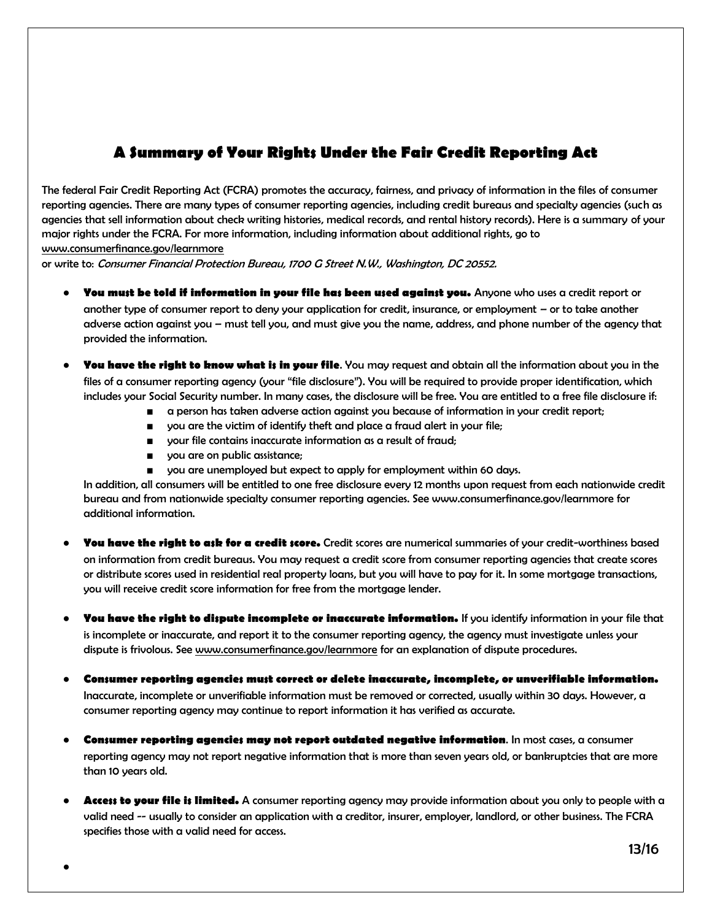## **A Summary of Your Rights Under the Fair Credit Reporting Act**

The federal Fair Credit Reporting Act (FCRA) promotes the accuracy, fairness, and privacy of information in the files of consumer reporting agencies. There are many types of consumer reporting agencies, including credit bureaus and specialty agencies (such as agencies that sell information about check writing histories, medical records, and rental history records). Here is a summary of your major rights under the FCRA. For more information, including information about additional rights, go to

[www.consumerfinance.gov/learnmore](http://www.consumerfinance.gov/learnmore)

or write to: Consumer Financial Protection Bureau, 1700 G Street N.W., Washington, DC 20552.

- **You must be told if information in your file has been used against you.** Anyone who uses a credit report or another type of consumer report to deny your application for credit, insurance, or employment – or to take another adverse action against you – must tell you, and must give you the name, address, and phone number of the agency that provided the information.
- **You have the right to know what is in your file**. You may request and obtain all the information about you in the files of a consumer reporting agency (your "file disclosure"). You will be required to provide proper identification, which includes your Social Security number. In many cases, the disclosure will be free. You are entitled to a free file disclosure if:
	- a person has taken adverse action against you because of information in your credit report;
	- you are the victim of identify theft and place a fraud alert in your file;
	- your file contains inaccurate information as a result of fraud;
	- you are on public assistance;
	- you are unemployed but expect to apply for employment within 60 days.

In addition, all consumers will be entitled to one free disclosure every 12 months upon request from each nationwide credit bureau and from nationwide specialty consumer reporting agencies. See www.consumerfinance.gov/learnmore for additional information.

- **You have the right to ask for a credit score.** Credit scores are numerical summaries of your credit-worthiness based on information from credit bureaus. You may request a credit score from consumer reporting agencies that create scores or distribute scores used in residential real property loans, but you will have to pay for it. In some mortgage transactions, you will receive credit score information for free from the mortgage lender.
- **You have the right to dispute incomplete or inaccurate information.** If you identify information in your file that is incomplete or inaccurate, and report it to the consumer reporting agency, the agency must investigate unless your dispute is frivolous. See [www.consumerfinance.gov/learnmore](http://www.google.com/url?q=http%3A%2F%2Fwww.ftc.gov%2Fcredit&sa=D&sntz=1&usg=AFQjCNFF-c893zpFxioDM0_cD9csGNUUng) for an explanation of dispute procedures.
- **Consumer reporting agencies must correct or delete inaccurate, incomplete, or unverifiable information.** Inaccurate, incomplete or unverifiable information must be removed or corrected, usually within 30 days. However, a consumer reporting agency may continue to report information it has verified as accurate.
- **Consumer reporting agencies may not report outdated negative information**. In most cases, a consumer reporting agency may not report negative information that is more than seven years old, or bankruptcies that are more than 10 years old.
- **Access to your file is limited.** A consumer reporting agency may provide information about you only to people with a valid need -- usually to consider an application with a creditor, insurer, employer, landlord, or other business. The FCRA specifies those with a valid need for access.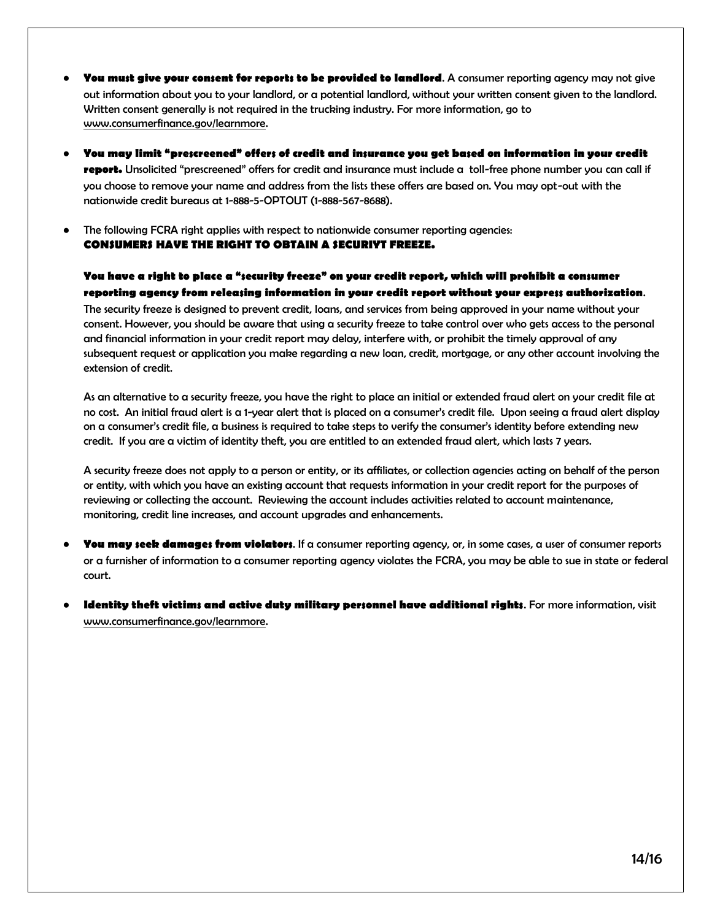- **You must give your consent for reports to be provided to landlord**. A consumer reporting agency may not give out information about you to your landlord, or a potential landlord, without your written consent given to the landlord. Written consent generally is not required in the trucking industry. For more information, go to [www.consumerfinance.gov/learnmore.](http://www.google.com/url?q=http%3A%2F%2Fwww.ftc.gov%2Fcredit&sa=D&sntz=1&usg=AFQjCNFF-c893zpFxioDM0_cD9csGNUUng)
- **You may limit "prescreened" offers of credit and insurance you get based on information in your credit report.** Unsolicited "prescreened" offers for credit and insurance must include a toll-free phone number you can call if you choose to remove your name and address from the lists these offers are based on. You may opt-out with the nationwide credit bureaus at 1-888-5-OPTOUT (1-888-567-8688).
- The following FCRA right applies with respect to nationwide consumer reporting agencies: **CONSUMERS HAVE THE RIGHT TO OBTAIN A SECURIYT FREEZE.**

#### **You have a right to place a "security freeze" on your credit report, which will prohibit a consumer reporting agency from releasing information in your credit report without your express authorization**.

The security freeze is designed to prevent credit, loans, and services from being approved in your name without your consent. However, you should be aware that using a security freeze to take control over who gets access to the personal and financial information in your credit report may delay, interfere with, or prohibit the timely approval of any subsequent request or application you make regarding a new loan, credit, mortgage, or any other account involving the extension of credit.

As an alternative to a security freeze, you have the right to place an initial or extended fraud alert on your credit file at no cost. An initial fraud alert is a 1-year alert that is placed on a consumer's credit file. Upon seeing a fraud alert display on a consumer's credit file, a business is required to take steps to verify the consumer's identity before extending new credit. If you are a victim of identity theft, you are entitled to an extended fraud alert, which lasts 7 years.

A security freeze does not apply to a person or entity, or its affiliates, or collection agencies acting on behalf of the person or entity, with which you have an existing account that requests information in your credit report for the purposes of reviewing or collecting the account. Reviewing the account includes activities related to account maintenance, monitoring, credit line increases, and account upgrades and enhancements.

- **You may seek damages from violators**. If a consumer reporting agency, or, in some cases, a user of consumer reports or a furnisher of information to a consumer reporting agency violates the FCRA, you may be able to sue in state or federal court.
- **Identity theft victims and active duty military personnel have additional rights.** For more information, visit [www.consumerfinance.gov/learnmore.](http://www.google.com/url?q=http%3A%2F%2Fwww.ftc.gov%2Fcredit&sa=D&sntz=1&usg=AFQjCNFF-c893zpFxioDM0_cD9csGNUUng)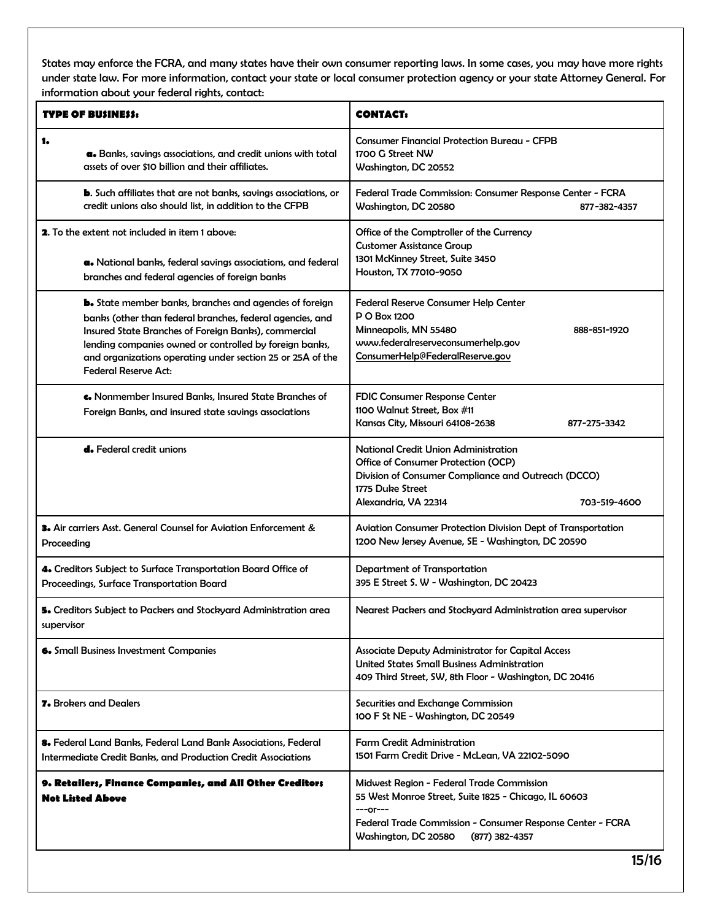States may enforce the FCRA, and many states have their own consumer reporting laws. In some cases, you may have more rights under state law. For more information, contact your state or local consumer protection agency or your state Attorney General. For information about your federal rights, contact:

| <b>TYPE OF BUSINESS:</b>                                                                                                                                                                                                                                                                                                                    | <b>CONTACT:</b>                                                                                                                                                                                                            |  |  |
|---------------------------------------------------------------------------------------------------------------------------------------------------------------------------------------------------------------------------------------------------------------------------------------------------------------------------------------------|----------------------------------------------------------------------------------------------------------------------------------------------------------------------------------------------------------------------------|--|--|
| 1.<br>a. Banks, savings associations, and credit unions with total<br>assets of over \$10 billion and their affiliates.                                                                                                                                                                                                                     | <b>Consumer Financial Protection Bureau - CFPB</b><br>1700 G Street NW<br>Washington, DC 20552                                                                                                                             |  |  |
| <b>b.</b> Such affiliates that are not banks, savings associations, or<br>credit unions also should list, in addition to the CFPB                                                                                                                                                                                                           | Federal Trade Commission: Consumer Response Center - FCRA<br>Washington, DC 20580<br>877-382-4357                                                                                                                          |  |  |
| <b>2.</b> To the extent not included in item 1 above:<br>a. National banks, federal savings associations, and federal<br>branches and federal agencies of foreign banks                                                                                                                                                                     | Office of the Comptroller of the Currency<br><b>Customer Assistance Group</b><br>1301 McKinney Street, Suite 3450<br>Houston, TX 77010-9050                                                                                |  |  |
| <b>b.</b> State member banks, branches and agencies of foreign<br>banks (other than federal branches, federal agencies, and<br>Insured State Branches of Foreign Banks), commercial<br>lending companies owned or controlled by foreign banks,<br>and organizations operating under section 25 or 25A of the<br><b>Federal Reserve Act:</b> | <b>Federal Reserve Consumer Help Center</b><br><b>P O Box 1200</b><br>Minneapolis, MN 55480<br>888-851-1920<br>www.federalreserveconsumerhelp.gov<br>ConsumerHelp@FederalReserve.gov                                       |  |  |
| G. Nonmember Insured Banks, Insured State Branches of<br>Foreign Banks, and insured state savings associations                                                                                                                                                                                                                              | FDIC Consumer Response Center<br>1100 Walnut Street, Box #11<br>Kansas City, Missouri 64108-2638<br>877-275-3342                                                                                                           |  |  |
| <b>d.</b> Federal credit unions                                                                                                                                                                                                                                                                                                             | <b>National Credit Union Administration</b><br>Office of Consumer Protection (OCP)<br>Division of Consumer Compliance and Outreach (DCCO)<br>1775 Duke Street<br>Alexandria, VA 22314<br>703-519-4600                      |  |  |
| 3. Air carriers Asst. General Counsel for Aviation Enforcement &<br>Proceeding                                                                                                                                                                                                                                                              | Aviation Consumer Protection Division Dept of Transportation<br>1200 New Jersey Avenue, SE - Washington, DC 20590                                                                                                          |  |  |
| 4. Creditors Subject to Surface Transportation Board Office of<br>Proceedings, Surface Transportation Board                                                                                                                                                                                                                                 | Department of Transportation<br>395 E Street S. W - Washington, DC 20423                                                                                                                                                   |  |  |
| 5. Creditors Subject to Packers and Stockyard Administration area<br>supervisor                                                                                                                                                                                                                                                             | Nearest Packers and Stockyard Administration area supervisor                                                                                                                                                               |  |  |
| <b>6.</b> Small Business Investment Companies                                                                                                                                                                                                                                                                                               | Associate Deputy Administrator for Capital Access<br><b>United States Small Business Administration</b><br>409 Third Street, SW, 8th Floor - Washington, DC 20416                                                          |  |  |
| <b>7.</b> Brokers and Dealers                                                                                                                                                                                                                                                                                                               | Securities and Exchange Commission<br>100 F St NE - Washington, DC 20549                                                                                                                                                   |  |  |
| 8. Federal Land Banks, Federal Land Bank Associations, Federal<br>Intermediate Credit Banks, and Production Credit Associations                                                                                                                                                                                                             | <b>Farm Credit Administration</b><br>1501 Farm Credit Drive - McLean, VA 22102-5090                                                                                                                                        |  |  |
| 9. Retailers, Finance Companies, and All Other Creditors<br><b>Not Listed Above</b>                                                                                                                                                                                                                                                         | Midwest Region - Federal Trade Commission<br>55 West Monroe Street, Suite 1825 - Chicago, IL 60603<br>$---or---$<br>Federal Trade Commission - Consumer Response Center - FCRA<br>Washington, DC 20580<br>$(877)$ 382-4357 |  |  |
|                                                                                                                                                                                                                                                                                                                                             | 15/16                                                                                                                                                                                                                      |  |  |